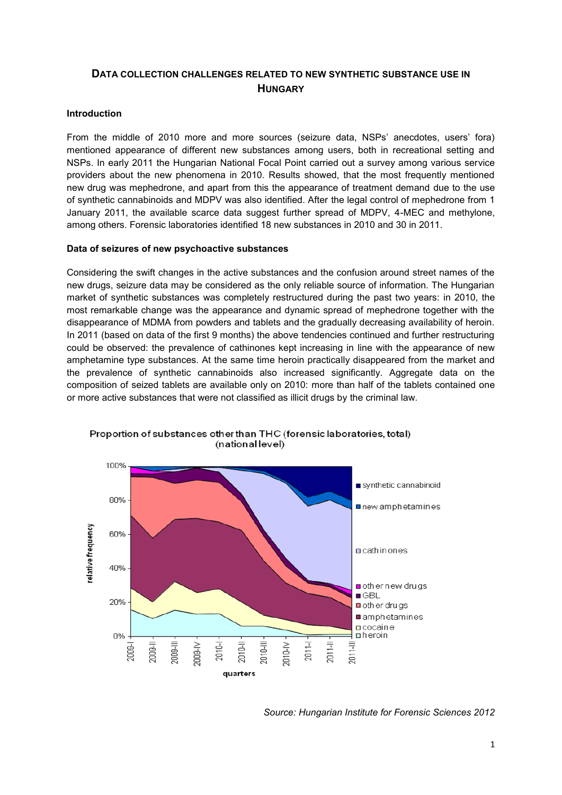# **DATA COLLECTION CHALLENGES RELATED TO NEW SYNTHETIC SUBSTANCE USE IN HUNGARY**

# **Introduction**

From the middle of 2010 more and more sources (seizure data, NSPs' anecdotes, users' fora) mentioned appearance of different new substances among users, both in recreational setting and NSPs. In early 2011 the Hungarian National Focal Point carried out a survey among various service providers about the new phenomena in 2010. Results showed, that the most frequently mentioned new drug was mephedrone, and apart from this the appearance of treatment demand due to the use of synthetic cannabinoids and MDPV was also identified. After the legal control of mephedrone from 1 January 2011, the available scarce data suggest further spread of MDPV, 4-MEC and methylone, among others. Forensic laboratories identified 18 new substances in 2010 and 30 in 2011.

## **Data of seizures of new psychoactive substances**

Considering the swift changes in the active substances and the confusion around street names of the new drugs, seizure data may be considered as the only reliable source of information. The Hungarian market of synthetic substances was completely restructured during the past two years: in 2010, the most remarkable change was the appearance and dynamic spread of mephedrone together with the disappearance of MDMA from powders and tablets and the gradually decreasing availability of heroin. In 2011 (based on data of the first 9 months) the above tendencies continued and further restructuring could be observed: the prevalence of cathinones kept increasing in line with the appearance of new amphetamine type substances. At the same time heroin practically disappeared from the market and the prevalence of synthetic cannabinoids also increased significantly. Aggregate data on the composition of seized tablets are available only on 2010: more than half of the tablets contained one or more active substances that were not classified as illicit drugs by the criminal law.



Proportion of substances other than THC (forensic laboratories, total) (national level)

*Source: Hungarian Institute for Forensic Sciences 2012*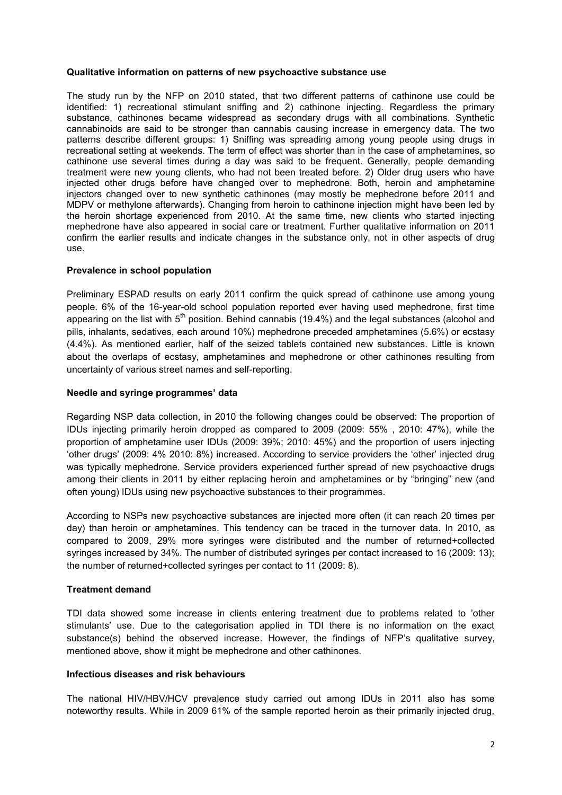#### **Qualitative information on patterns of new psychoactive substance use**

The study run by the NFP on 2010 stated, that two different patterns of cathinone use could be identified: 1) recreational stimulant sniffing and 2) cathinone injecting. Regardless the primary substance, cathinones became widespread as secondary drugs with all combinations. Synthetic cannabinoids are said to be stronger than cannabis causing increase in emergency data. The two patterns describe different groups: 1) Sniffing was spreading among young people using drugs in recreational setting at weekends. The term of effect was shorter than in the case of amphetamines, so cathinone use several times during a day was said to be frequent. Generally, people demanding treatment were new young clients, who had not been treated before. 2) Older drug users who have injected other drugs before have changed over to mephedrone. Both, heroin and amphetamine injectors changed over to new synthetic cathinones (may mostly be mephedrone before 2011 and MDPV or methylone afterwards). Changing from heroin to cathinone injection might have been led by the heroin shortage experienced from 2010. At the same time, new clients who started injecting mephedrone have also appeared in social care or treatment. Further qualitative information on 2011 confirm the earlier results and indicate changes in the substance only, not in other aspects of drug use.

## **Prevalence in school population**

Preliminary ESPAD results on early 2011 confirm the quick spread of cathinone use among young people. 6% of the 16-year-old school population reported ever having used mephedrone, first time appearing on the list with  $5<sup>th</sup>$  position. Behind cannabis (19.4%) and the legal substances (alcohol and pills, inhalants, sedatives, each around 10%) mephedrone preceded amphetamines (5.6%) or ecstasy (4.4%). As mentioned earlier, half of the seized tablets contained new substances. Little is known about the overlaps of ecstasy, amphetamines and mephedrone or other cathinones resulting from uncertainty of various street names and self-reporting.

#### **Needle and syringe programmes' data**

Regarding NSP data collection, in 2010 the following changes could be observed: The proportion of IDUs injecting primarily heroin dropped as compared to 2009 (2009: 55% , 2010: 47%), while the proportion of amphetamine user IDUs (2009: 39%; 2010: 45%) and the proportion of users injecting "other drugs" (2009: 4% 2010: 8%) increased. According to service providers the "other" injected drug was typically mephedrone. Service providers experienced further spread of new psychoactive drugs among their clients in 2011 by either replacing heroin and amphetamines or by "bringing" new (and often young) IDUs using new psychoactive substances to their programmes.

According to NSPs new psychoactive substances are injected more often (it can reach 20 times per day) than heroin or amphetamines. This tendency can be traced in the turnover data. In 2010, as compared to 2009, 29% more syringes were distributed and the number of returned+collected syringes increased by 34%. The number of distributed syringes per contact increased to 16 (2009: 13); the number of returned+collected syringes per contact to 11 (2009: 8).

## **Treatment demand**

TDI data showed some increase in clients entering treatment due to problems related to "other stimulants" use. Due to the categorisation applied in TDI there is no information on the exact substance(s) behind the observed increase. However, the findings of NFP's qualitative survey, mentioned above, show it might be mephedrone and other cathinones.

#### **Infectious diseases and risk behaviours**

The national HIV/HBV/HCV prevalence study carried out among IDUs in 2011 also has some noteworthy results. While in 2009 61% of the sample reported heroin as their primarily injected drug,